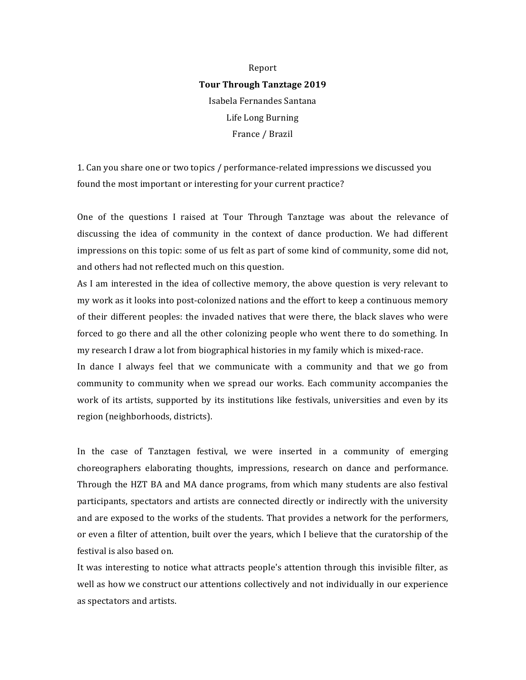## Report **Tour Through Tanztage 2019** Isabela Fernandes Santana Life Long Burning France / Brazil

1. Can you share one or two topics / performance-related impressions we discussed you found the most important or interesting for your current practice?

One of the questions I raised at Tour Through Tanztage was about the relevance of discussing the idea of community in the context of dance production. We had different impressions on this topic: some of us felt as part of some kind of community, some did not, and others had not reflected much on this question.

As I am interested in the idea of collective memory, the above question is very relevant to my work as it looks into post-colonized nations and the effort to keep a continuous memory of their different peoples: the invaded natives that were there, the black slaves who were forced to go there and all the other colonizing people who went there to do something. In my research I draw a lot from biographical histories in my family which is mixed-race.

In dance I always feel that we communicate with a community and that we go from community to community when we spread our works. Each community accompanies the work of its artists, supported by its institutions like festivals, universities and even by its region (neighborhoods, districts).

In the case of Tanztagen festival, we were inserted in a community of emerging choreographers elaborating thoughts, impressions, research on dance and performance. Through the HZT BA and MA dance programs, from which many students are also festival participants, spectators and artists are connected directly or indirectly with the university and are exposed to the works of the students. That provides a network for the performers, or even a filter of attention, built over the years, which I believe that the curatorship of the festival is also based on.

It was interesting to notice what attracts people's attention through this invisible filter, as well as how we construct our attentions collectively and not individually in our experience as spectators and artists.